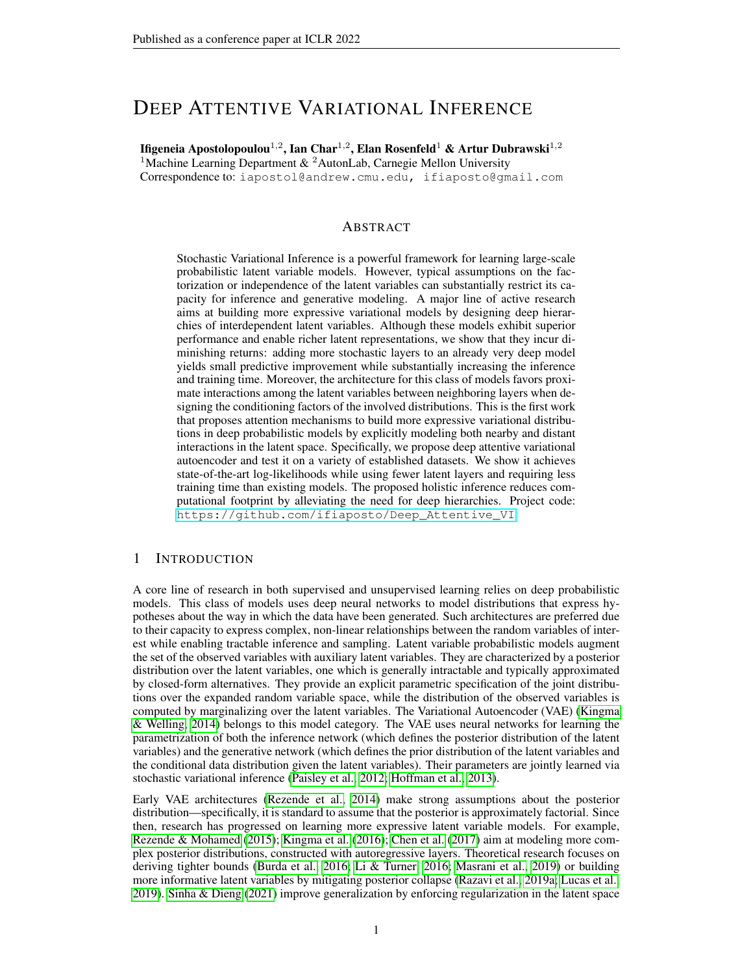# DEEP ATTENTIVE VARIATIONAL INFERENCE

Ifigeneia Apostolopoulou $^{1,2}$ , Ian Char $^{1,2}$ , Elan Rosenfeld $^{1}$  & Artur Dubrawski $^{1,2}$ 

<sup>1</sup>Machine Learning Department  $\&$  <sup>2</sup>AutonLab, Carnegie Mellon University Correspondence to: iapostol@andrew.cmu.edu, ifiaposto@gmail.com

### ABSTRACT

Stochastic Variational Inference is a powerful framework for learning large-scale probabilistic latent variable models. However, typical assumptions on the factorization or independence of the latent variables can substantially restrict its capacity for inference and generative modeling. A major line of active research aims at building more expressive variational models by designing deep hierarchies of interdependent latent variables. Although these models exhibit superior performance and enable richer latent representations, we show that they incur diminishing returns: adding more stochastic layers to an already very deep model yields small predictive improvement while substantially increasing the inference and training time. Moreover, the architecture for this class of models favors proximate interactions among the latent variables between neighboring layers when designing the conditioning factors of the involved distributions. This is the first work that proposes attention mechanisms to build more expressive variational distributions in deep probabilistic models by explicitly modeling both nearby and distant interactions in the latent space. Specifically, we propose deep attentive variational autoencoder and test it on a variety of established datasets. We show it achieves state-of-the-art log-likelihoods while using fewer latent layers and requiring less training time than existing models. The proposed holistic inference reduces computational footprint by alleviating the need for deep hierarchies. Project code: [https://github.com/ifiaposto/Deep\\_Attentive\\_VI](https://github.com/ifiaposto/Deep_Attentive_VI)

## 1 INTRODUCTION

A core line of research in both supervised and unsupervised learning relies on deep probabilistic models. This class of models uses deep neural networks to model distributions that express hypotheses about the way in which the data have been generated. Such architectures are preferred due to their capacity to express complex, non-linear relationships between the random variables of interest while enabling tractable inference and sampling. Latent variable probabilistic models augment the set of the observed variables with auxiliary latent variables. They are characterized by a posterior distribution over the latent variables, one which is generally intractable and typically approximated by closed-form alternatives. They provide an explicit parametric specification of the joint distributions over the expanded random variable space, while the distribution of the observed variables is computed by marginalizing over the latent variables. The Variational Autoencoder (VAE) [\(Kingma](#page-10-0) [& Welling, 2014\)](#page-10-0) belongs to this model category. The VAE uses neural networks for learning the parametrization of both the inference network (which defines the posterior distribution of the latent variables) and the generative network (which defines the prior distribution of the latent variables and the conditional data distribution given the latent variables). Their parameters are jointly learned via stochastic variational inference [\(Paisley et al., 2012;](#page-11-0) [Hoffman et al., 2013\)](#page-10-1).

Early VAE architectures [\(Rezende et al., 2014\)](#page-11-1) make strong assumptions about the posterior distribution—specifically, it is standard to assume that the posterior is approximately factorial. Since then, research has progressed on learning more expressive latent variable models. For example, [Rezende & Mohamed](#page-11-2) [\(2015\)](#page-11-2); [Kingma et al.](#page-10-2) [\(2016\)](#page-10-2); [Chen et al.](#page-9-0) [\(2017\)](#page-9-0) aim at modeling more complex posterior distributions, constructed with autoregressive layers. Theoretical research focuses on deriving tighter bounds [\(Burda et al., 2016;](#page-9-1) [Li & Turner, 2016;](#page-10-3) [Masrani et al., 2019\)](#page-11-3) or building more informative latent variables by mitigating posterior collapse [\(Razavi et al., 2019a;](#page-11-4) [Lucas et al.,](#page-10-4) [2019\)](#page-10-4). [Sinha & Dieng](#page-11-5) [\(2021\)](#page-11-5) improve generalization by enforcing regularization in the latent space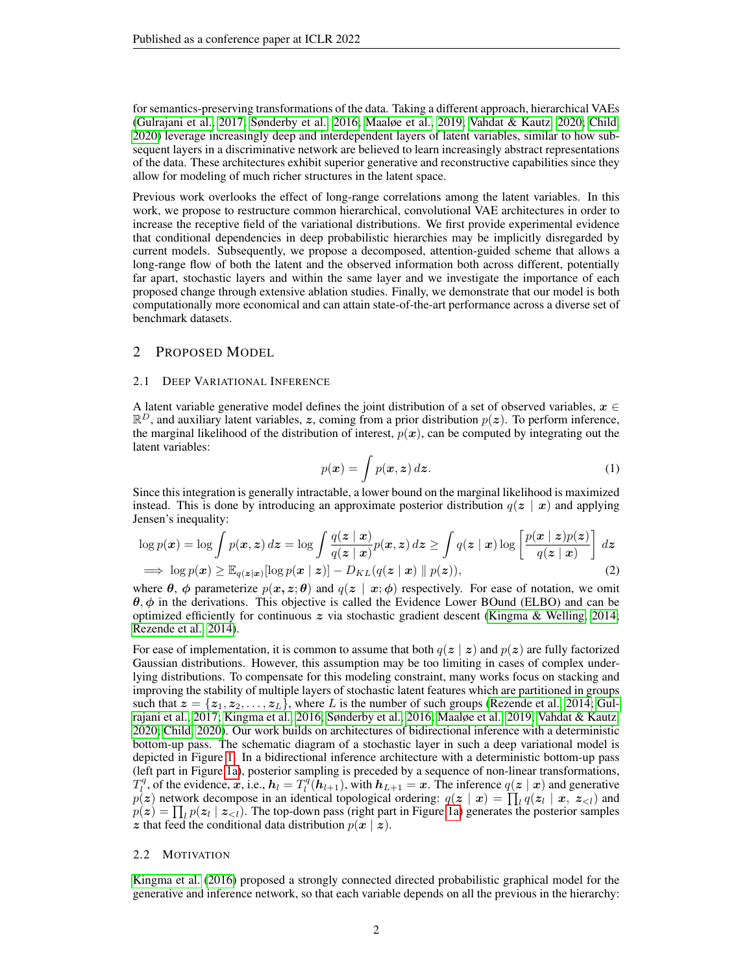for semantics-preserving transformations of the data. Taking a different approach, hierarchical VAEs [\(Gulrajani et al., 2017;](#page-10-5) [Sønderby et al., 2016;](#page-11-6) [Maaløe et al., 2019;](#page-11-7) [Vahdat & Kautz, 2020;](#page-11-8) [Child,](#page-9-2) [2020\)](#page-9-2) leverage increasingly deep and interdependent layers of latent variables, similar to how subsequent layers in a discriminative network are believed to learn increasingly abstract representations of the data. These architectures exhibit superior generative and reconstructive capabilities since they allow for modeling of much richer structures in the latent space.

Previous work overlooks the effect of long-range correlations among the latent variables. In this work, we propose to restructure common hierarchical, convolutional VAE architectures in order to increase the receptive field of the variational distributions. We first provide experimental evidence that conditional dependencies in deep probabilistic hierarchies may be implicitly disregarded by current models. Subsequently, we propose a decomposed, attention-guided scheme that allows a long-range flow of both the latent and the observed information both across different, potentially far apart, stochastic layers and within the same layer and we investigate the importance of each proposed change through extensive ablation studies. Finally, we demonstrate that our model is both computationally more economical and can attain state-of-the-art performance across a diverse set of benchmark datasets.

## <span id="page-1-2"></span>2 PROPOSED MODEL

#### 2.1 DEEP VARIATIONAL INFERENCE

A latent variable generative model defines the joint distribution of a set of observed variables,  $x \in$  $\mathbb{R}^D$ , and auxiliary latent variables, z, coming from a prior distribution  $p(z)$ . To perform inference, the marginal likelihood of the distribution of interest,  $p(x)$ , can be computed by integrating out the latent variables:

<span id="page-1-1"></span>
$$
p(\boldsymbol{x}) = \int p(\boldsymbol{x}, \boldsymbol{z}) \, d\boldsymbol{z}.\tag{1}
$$

Since this integration is generally intractable, a lower bound on the marginal likelihood is maximized instead. This is done by introducing an approximate posterior distribution  $q(z | x)$  and applying Jensen's inequality:

$$
\log p(\mathbf{x}) = \log \int p(\mathbf{x}, \mathbf{z}) d\mathbf{z} = \log \int \frac{q(\mathbf{z} \mid \mathbf{x})}{q(\mathbf{z} \mid \mathbf{x})} p(\mathbf{x}, \mathbf{z}) d\mathbf{z} \ge \int q(\mathbf{z} \mid \mathbf{x}) \log \left[ \frac{p(\mathbf{x} \mid \mathbf{z}) p(\mathbf{z})}{q(\mathbf{z} \mid \mathbf{x})} \right] d\mathbf{z}
$$
  
\n
$$
\implies \log p(\mathbf{x}) \ge \mathbb{E}_{q(\mathbf{z} \mid \mathbf{x})} [\log p(\mathbf{x} \mid \mathbf{z})] - D_{KL}(q(\mathbf{z} \mid \mathbf{x}) \parallel p(\mathbf{z})), \tag{2}
$$

where  $\theta$ ,  $\phi$  parameterize  $p(x, z; \theta)$  and  $q(z | x; \phi)$  respectively. For ease of notation, we omit  $\theta$ ,  $\phi$  in the derivations. This objective is called the Evidence Lower BOund (ELBO) and can be optimized efficiently for continuous  $z$  via stochastic gradient descent [\(Kingma & Welling, 2014;](#page-10-0) [Rezende et al., 2014\)](#page-11-1).

For ease of implementation, it is common to assume that both  $q(z | z)$  and  $p(z)$  are fully factorized Gaussian distributions. However, this assumption may be too limiting in cases of complex underlying distributions. To compensate for this modeling constraint, many works focus on stacking and improving the stability of multiple layers of stochastic latent features which are partitioned in groups such that  $z = \{z_1, z_2, \ldots, z_L\}$ , where L is the number of such groups [\(Rezende et al., 2014;](#page-11-1) [Gul](#page-10-5)[rajani et al., 2017;](#page-10-5) [Kingma et al., 2016;](#page-10-2) [Sønderby et al., 2016;](#page-11-6) [Maaløe et al., 2019;](#page-11-7) [Vahdat & Kautz,](#page-11-8) [2020;](#page-11-8) [Child, 2020\)](#page-9-2). Our work builds on architectures of bidirectional inference with a deterministic bottom-up pass. The schematic diagram of a stochastic layer in such a deep variational model is depicted in Figure [1.](#page-2-0) In a bidirectional inference architecture with a deterministic bottom-up pass (left part in Figure [1a\)](#page-2-0), posterior sampling is preceded by a sequence of non-linear transformations,  $T_l^q$ , of the evidence, x, i.e.,  $h_l = T_l^q(h_{l+1})$ , with  $h_{L+1} = x$ . The inference  $q(z | x)$  and generative  $p(z)$  network decompose in an identical topological ordering:  $q(z | x) = \prod_l q(z_l | x, z_{\lt l})$  and  $p(z) = \prod_l p(z_l \mid z_{l})$ . The top-down pass (right part in Figure [1a\)](#page-2-0) generates the posterior samples z that feed the conditional data distribution  $p(x \mid z)$ .

#### <span id="page-1-0"></span>2.2 MOTIVATION

[Kingma et al.](#page-10-2) [\(2016\)](#page-10-2) proposed a strongly connected directed probabilistic graphical model for the generative and inference network, so that each variable depends on all the previous in the hierarchy: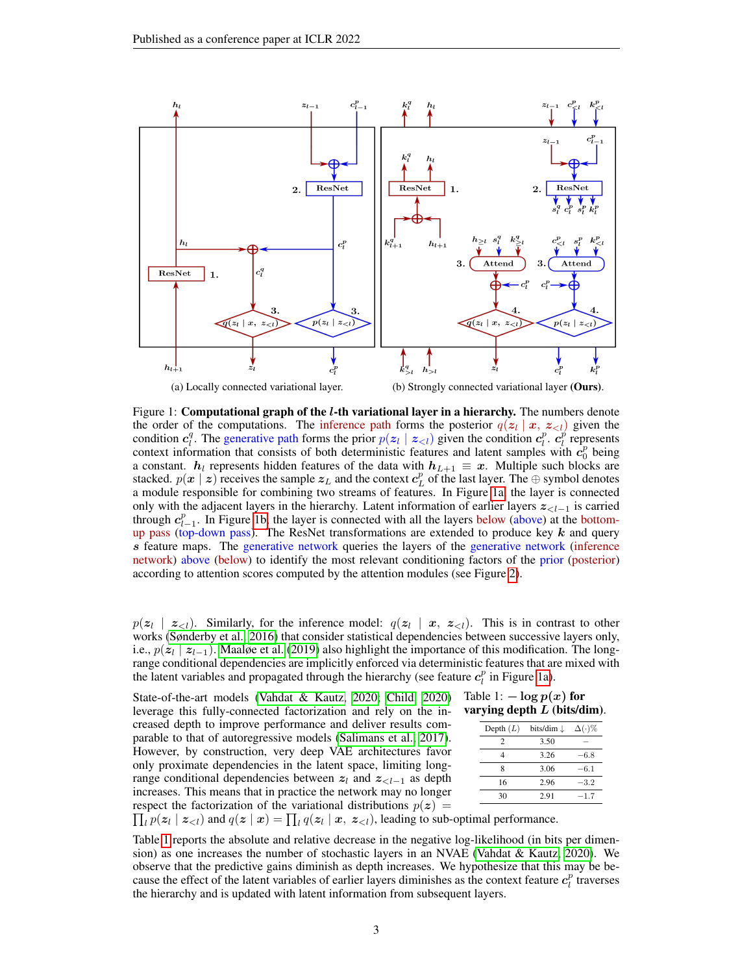<span id="page-2-0"></span>

Figure 1: **Computational graph of the** *l***-th variational layer in a hierarchy.** The numbers denote the order of the computations. The inference path forms the posterior  $q(z_l | x, z_{\le l})$  given the condition  $c_l^q$ . The generative path forms the prior  $p(z_l | z_{l})$  given the condition  $c_l^p$ .  $c_l^p$  represents context information that consists of both deterministic features and latent samples with  $c_0^p$  being a constant.  $h_l$  represents hidden features of the data with  $h_{L+1} \equiv x$ . Multiple such blocks are stacked.  $p(x \mid z)$  receives the sample  $z_L$  and the context  $c_L^p$  of the last layer. The  $\oplus$  symbol denotes a module responsible for combining two streams of features. In Figure [1a,](#page-2-0) the layer is connected only with the adjacent layers in the hierarchy. Latent information of earlier layers  $z_{\lt l-1}$  is carried through  $c_{l-1}^p$ . In Figure [1b,](#page-2-0) the layer is connected with all the layers below (above) at the bottomup pass (top-down pass). The ResNet transformations are extended to produce key  $k$  and query s feature maps. The generative network queries the layers of the generative network (inference network) above (below) to identify the most relevant conditioning factors of the prior (posterior) according to attention scores computed by the attention modules (see Figure [2\)](#page-3-0).

 $p(\mathbf{z}_l | \mathbf{z}_{l})$ . Similarly, for the inference model:  $q(\mathbf{z}_l | \mathbf{x}, \mathbf{z}_{l})$ . This is in contrast to other works [\(Sønderby et al., 2016\)](#page-11-6) that consider statistical dependencies between successive layers only, i.e.,  $p(z_l | z_{l-1})$ . [Maaløe et al.](#page-11-7) [\(2019\)](#page-11-7) also highlight the importance of this modification. The longrange conditional dependencies are implicitly enforced via deterministic features that are mixed with the latent variables and propagated through the hierarchy (see feature  $c_l^p$  in Figure [1a\)](#page-2-0).

State-of-the-art models [\(Vahdat & Kautz, 2020;](#page-11-8) [Child, 2020\)](#page-9-2) leverage this fully-connected factorization and rely on the increased depth to improve performance and deliver results comparable to that of autoregressive models [\(Salimans et al., 2017\)](#page-11-9). However, by construction, very deep VAE architectures favor only proximate dependencies in the latent space, limiting longrange conditional dependencies between  $z_l$  and  $z_{\lt l-1}$  as depth increases. This means that in practice the network may no longer respect the factorization of the variational distributions  $p(z)$ 

#### <span id="page-2-1"></span>Table 1:  $-\log p(x)$  for varying depth  $L$  (bits/dim).

| Depth $(L)$ | bits/dim $\downarrow$ | $\Delta(\cdot)\%$ |  |
|-------------|-----------------------|-------------------|--|
| 2           | 3.50                  |                   |  |
|             | 3.26                  | $-6.8$            |  |
| 8           | 3.06                  | $-6.1$            |  |
| 16          | 2.96                  | $-3.2$            |  |
| 30          | 2.91                  | $-1.7$            |  |
|             |                       |                   |  |

 $\prod_l p(\mathbf{z}_l | \mathbf{z}_{l})$  and  $q(\mathbf{z} | \mathbf{x}) = \prod_l q(\mathbf{z}_l | \mathbf{x}, \mathbf{z}_{l})$ , leading to sub-optimal performance.

Table [1](#page-2-1) reports the absolute and relative decrease in the negative log-likelihood (in bits per dimension) as one increases the number of stochastic layers in an NVAE (Vahdat  $\&$  Kautz, 2020). We observe that the predictive gains diminish as depth increases. We hypothesize that this may be because the effect of the latent variables of earlier layers diminishes as the context feature  $c_l^p$  traverses the hierarchy and is updated with latent information from subsequent layers.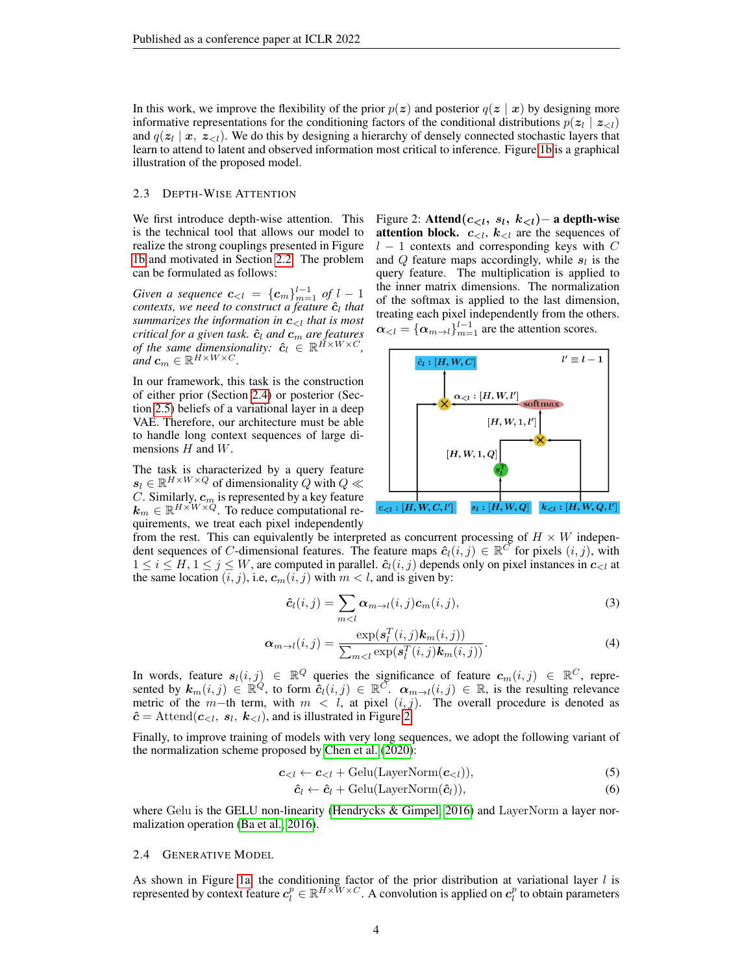In this work, we improve the flexibility of the prior  $p(z)$  and posterior  $q(z | x)$  by designing more informative representations for the conditioning factors of the conditional distributions  $p(z_l | z_{\le l})$ and  $q(z_l | x, z_{\le l})$ . We do this by designing a hierarchy of densely connected stochastic layers that learn to attend to latent and observed information most critical to inference. Figure [1b](#page-2-0) is a graphical illustration of the proposed model.

#### 2.3 DEPTH-WISE ATTENTION

We first introduce depth-wise attention. This is the technical tool that allows our model to realize the strong couplings presented in Figure [1b](#page-2-0) and motivated in Section [2.2.](#page-1-0) The problem can be formulated as follows:

*Given a sequence*  $c_{ of  $l-1$$ *contexts, we need to construct a feature*  $\hat{\boldsymbol{c}}_l$  *that summarizes the information in*  $c_{\langle l \rangle}$  *that is most critical for a given task.*  $\hat{c}_l$  *and*  $c_m$  *are features of the same dimensionality:*  $\hat{c}_l \in \mathbb{R}^{\tilde{H} \times W \times C}$ *,*  $\omega_{\text{and}} c_m \in \mathbb{R}^{H \times W \times C}$ .

In our framework, this task is the construction of either prior (Section [2.4\)](#page-3-1) or posterior (Section [2.5\)](#page-4-0) beliefs of a variational layer in a deep VAE. Therefore, our architecture must be able to handle long context sequences of large dimensions  $H$  and  $W$ .

The task is characterized by a query feature  $s_l \in \mathbb{R}^{H \times W \times Q}$  of dimensionality Q with  $Q \ll$ C. Similarly,  $\boldsymbol{c}_m$  is represented by a key feature  $\mathbf{k}_m \in \mathbb{R}^{H \times W \times Q}$ . To reduce computational requirements, we treat each pixel independently <span id="page-3-0"></span>Figure 2: Attend $(c_{\leq l}, s_l, k_{\leq l})$  – a depth-wise **attention block.**  $c_{\leq l}$ ,  $k_{\leq l}$  are the sequences of  $l - 1$  contexts and corresponding keys with C and  $Q$  feature maps accordingly, while  $s_l$  is the query feature. The multiplication is applied to the inner matrix dimensions. The normalization of the softmax is applied to the last dimension, treating each pixel independently from the others.  $\boldsymbol{\alpha}_{\leq l} = {\{\alpha_{m \to l}\}}_{m=1}^{l-1}$  are the attention scores.



from the rest. This can equivalently be interpreted as concurrent processing of  $H \times W$  independent sequences of C-dimensional features. The feature maps  $\hat{c}_l(i,j) \in \mathbb{R}^C$  for pixels  $(i, j)$ , with  $1 \le i \le H, 1 \le j \le W$ , are computed in parallel.  $\hat{c}_i(i, j)$  depends only on pixel instances in  $c_{\le l}$  at the same location  $(i, j)$ , i.e,  $c_m(i, j)$  with  $m < l$ , and is given by:

$$
\hat{\mathbf{c}}_l(i,j) = \sum_{m < l} \alpha_{m \to l}(i,j) \mathbf{c}_m(i,j),\tag{3}
$$

$$
\boldsymbol{\alpha}_{m \to l}(i,j) = \frac{\exp(\boldsymbol{s}_l^T(i,j)\boldsymbol{k}_m(i,j))}{\sum_{m < l} \exp(\boldsymbol{s}_l^T(i,j)\boldsymbol{k}_m(i,j))}.
$$
\n(4)

In words, feature  $s_l(i,j) \in \mathbb{R}^Q$  queries the significance of feature  $c_m(i,j) \in \mathbb{R}^C$ , represented by  $k_m(i,j) \in \mathbb{R}^Q$ , to form  $\hat{c}_l(i,j) \in \mathbb{R}^C$ .  $\alpha_{m \to l}(i,j) \in \mathbb{R}$ , is the resulting relevance metric of the m−th term, with  $m < l$ , at pixel  $(i, j)$ . The overall procedure is denoted as  $\hat{c} = \text{Attend}(c_{\leq l}, s_l, k_{\leq l})$ , and is illustrated in Figure [2.](#page-3-0)

Finally, to improve training of models with very long sequences, we adopt the following variant of the normalization scheme proposed by [Chen et al.](#page-9-3) [\(2020\)](#page-9-3):

$$
\boldsymbol{c}_{<} \leftarrow \boldsymbol{c}_{<} t + \text{Gelu}(\text{LayerNorm}(\boldsymbol{c}_{<})),\tag{5}
$$

$$
\hat{\mathbf{c}}_l \leftarrow \hat{\mathbf{c}}_l + \text{Gelu}(\text{LayerNorm}(\hat{\mathbf{c}}_l)),\tag{6}
$$

where Gelu is the GELU non-linearity (Hendrycks  $\&$  Gimpel, 2016) and LayerNorm a layer normalization operation [\(Ba et al., 2016\)](#page-9-4).

#### <span id="page-3-1"></span>2.4 GENERATIVE MODEL

As shown in Figure [1a,](#page-2-0) the conditioning factor of the prior distribution at variational layer  $l$  is represented by context feature  $c_l^p \in \mathbb{R}^{H \times W \times C}$ . A convolution is applied on  $c_l^p$  to obtain parameters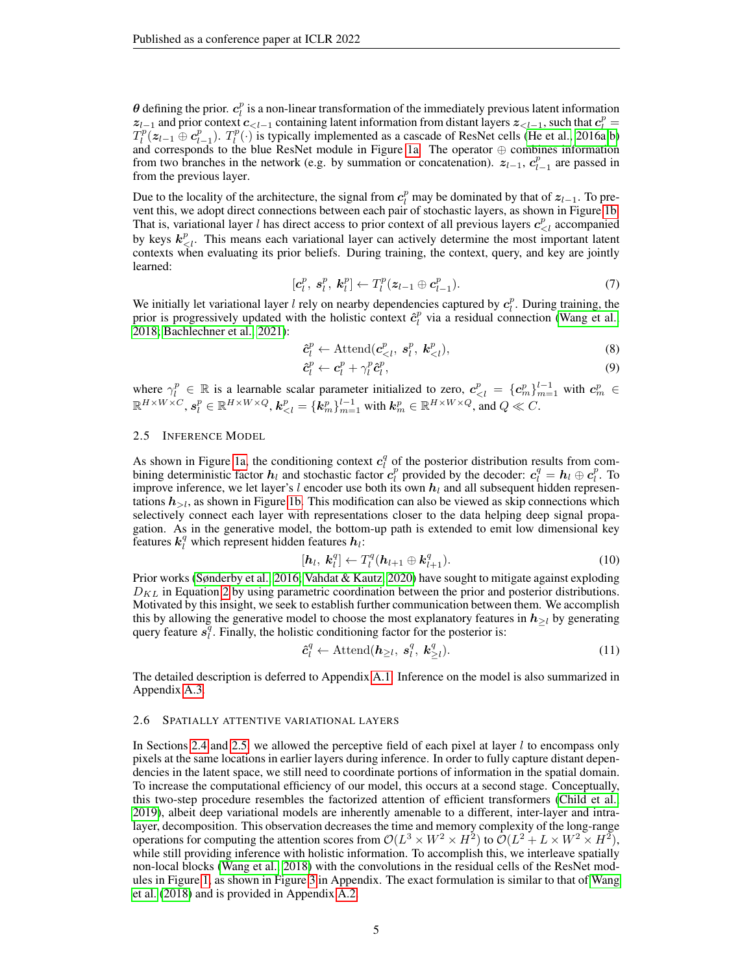$\theta$  defining the prior.  $c_l^p$  is a non-linear transformation of the immediately previous latent information  $z_{l-1}$  and prior context  $c_{\leq l-1}$  containing latent information from distant layers  $z_{\leq l-1}$ , such that  $c_l^p =$  $T_l^p(z_{l-1}\oplus c_{l-1}^p)$ .  $T_l^p(\cdot)$  is typically implemented as a cascade of ResNet cells [\(He et al., 2016a;](#page-10-7)[b\)](#page-10-8) and corresponds to the blue ResNet module in Figure [1a.](#page-2-0) The operator  $\oplus$  combines information from two branches in the network (e.g. by summation or concatenation).  $z_{l-1}$ ,  $c_{l-1}^p$  are passed in from the previous layer.

Due to the locality of the architecture, the signal from  $c_l^p$  may be dominated by that of  $z_{l-1}$ . To prevent this, we adopt direct connections between each pair of stochastic layers, as shown in Figure [1b.](#page-2-0) That is, variational layer l has direct access to prior context of all previous layers  $c_{\leq l}^p$  accompanied by keys  $k_{\leq l}^p$ . This means each variational layer can actively determine the most important latent contexts when evaluating its prior beliefs. During training, the context, query, and key are jointly learned:

$$
[\boldsymbol{c}_l^p, \boldsymbol{s}_l^p, \boldsymbol{k}_l^p] \leftarrow T_l^p(\boldsymbol{z}_{l-1} \oplus \boldsymbol{c}_{l-1}^p). \tag{7}
$$

We initially let variational layer l rely on nearby dependencies captured by  $c_l^p$ . During training, the we initially let variational layer  $i$  fely on hearby dependencies captured by  $e_i$ . During training, the prior is progressively updated with the holistic context  $\hat{e}_i^p$  via a residual connection [\(Wang et al.,](#page-12-0) [2018;](#page-12-0) [Bachlechner et al., 2021\)](#page-9-5):

$$
\hat{\boldsymbol{c}}_l^p \leftarrow \text{Attention}(\boldsymbol{c}_{\langle l}^p, \boldsymbol{s}_l^p, \boldsymbol{k}_{\langle l}^p), \tag{8}
$$

$$
\hat{\boldsymbol{c}}_l^p \leftarrow \boldsymbol{c}_l^p + \gamma_l^p \hat{\boldsymbol{c}}_l^p,\tag{9}
$$

where  $\gamma_l^p \in \mathbb{R}$  is a learnable scalar parameter initialized to zero,  $c_{\langle l}^p = \{c_m^p\}_{m=1}^{l-1}$  with  $c_m^p \in$  $\mathbb{R}^{H\times W\times C}$ ,  $\boldsymbol{s}_l^p\in\mathbb{R}^{H\times W\times Q}$ ,  $\boldsymbol{k}_{< l}^p=\{\boldsymbol{k}_m^p\}_{m=1}^{l-1}$  with  $\boldsymbol{k}_m^p\in\mathbb{R}^{H\times W\times Q}$ , and  $Q\ll C$ .

#### <span id="page-4-0"></span>2.5 INFERENCE MODEL

As shown in Figure [1a,](#page-2-0) the conditioning context  $c_l^q$  of the posterior distribution results from combining deterministic factor  $h_l$  and stochastic factor  $c_l^p$  provided by the decoder:  $c_l^q = h_l \oplus c_l^p$ . To improve inference, we let layer's l encoder use both its own  $h<sub>l</sub>$  and all subsequent hidden representations  $h_{\geq l}$ , as shown in Figure [1b.](#page-2-0) This modification can also be viewed as skip connections which selectively connect each layer with representations closer to the data helping deep signal propagation. As in the generative model, the bottom-up path is extended to emit low dimensional key features  $\boldsymbol{k}_{l}^{q}$  which represent hidden features  $\boldsymbol{h}_{l}$ :

$$
[\boldsymbol{h}_l, \boldsymbol{k}_l^q] \leftarrow T_l^q(\boldsymbol{h}_{l+1} \oplus \boldsymbol{k}_{l+1}^q). \tag{10}
$$

Prior works [\(Sønderby et al., 2016;](#page-11-6) [Vahdat & Kautz, 2020\)](#page-11-8) have sought to mitigate against exploding  $D_{KL}$  in Equation [2](#page-1-1) by using parametric coordination between the prior and posterior distributions. Motivated by this insight, we seek to establish further communication between them. We accomplish this by allowing the generative model to choose the most explanatory features in  $h_{\geq l}$  by generating query feature  $s_i^q$ . Finally, the holistic conditioning factor for the posterior is:

$$
\hat{\boldsymbol{c}}_l^q \leftarrow \text{Attend}(\boldsymbol{h}_{\geq l}, \ \boldsymbol{s}_l^q, \ \boldsymbol{k}_{\geq l}^q). \tag{11}
$$

The detailed description is deferred to Appendix A.1. Inference on the model is also summarized in Appendix A.3.

#### <span id="page-4-1"></span>2.6 SPATIALLY ATTENTIVE VARIATIONAL LAYERS

In Sections [2.4](#page-3-1) and [2.5,](#page-4-0) we allowed the perceptive field of each pixel at layer  $l$  to encompass only pixels at the same locations in earlier layers during inference. In order to fully capture distant dependencies in the latent space, we still need to coordinate portions of information in the spatial domain. To increase the computational efficiency of our model, this occurs at a second stage. Conceptually, this two-step procedure resembles the factorized attention of efficient transformers [\(Child et al.,](#page-9-6) [2019\)](#page-9-6), albeit deep variational models are inherently amenable to a different, inter-layer and intralayer, decomposition. This observation decreases the time and memory complexity of the long-range operations for computing the attention scores from  $\mathcal{O}(L^3 \times W^2 \times H^2)$  to  $\mathcal{O}(L^2 + L \times W^2 \times H^2)$ , while still providing inference with holistic information. To accomplish this, we interleave spatially non-local blocks [\(Wang et al., 2018\)](#page-12-0) with the convolutions in the residual cells of the ResNet modules in Figure [1,](#page-2-0) as shown in Figure 3 in Appendix. The exact formulation is similar to that of [Wang](#page-12-0) [et al.](#page-12-0) [\(2018\)](#page-12-0) and is provided in Appendix A.2.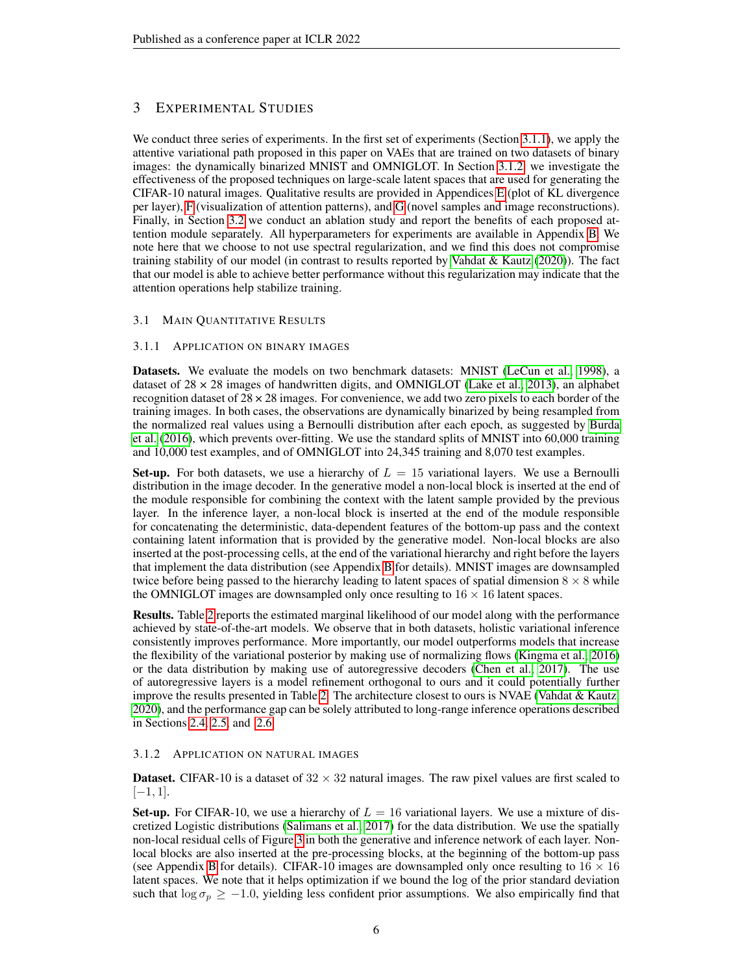# 3 EXPERIMENTAL STUDIES

We conduct three series of experiments. In the first set of experiments (Section [3.1.1\)](#page-5-0), we apply the attentive variational path proposed in this paper on VAEs that are trained on two datasets of binary images: the dynamically binarized MNIST and OMNIGLOT. In Section [3.1.2,](#page-5-1) we investigate the effectiveness of the proposed techniques on large-scale latent spaces that are used for generating the CIFAR-10 natural images. Qualitative results are provided in Appendices E (plot of KL divergence per layer), F (visualization of attention patterns), and G (novel samples and image reconstructions). Finally, in Section [3.2](#page-7-0) we conduct an ablation study and report the benefits of each proposed attention module separately. All hyperparameters for experiments are available in Appendix B. We note here that we choose to not use spectral regularization, and we find this does not compromise training stability of our model (in contrast to results reported by Vahdat  $\&$  Kautz [\(2020\)](#page-11-8)). The fact that our model is able to achieve better performance without this regularization may indicate that the attention operations help stabilize training.

## 3.1 MAIN QUANTITATIVE RESULTS

## <span id="page-5-0"></span>3.1.1 APPLICATION ON BINARY IMAGES

Datasets. We evaluate the models on two benchmark datasets: MNIST [\(LeCun et al., 1998\)](#page-10-9), a dataset of  $28 \times 28$  images of handwritten digits, and OMNIGLOT [\(Lake et al., 2013\)](#page-10-10), an alphabet recognition dataset of  $28 \times 28$  images. For convenience, we add two zero pixels to each border of the training images. In both cases, the observations are dynamically binarized by being resampled from the normalized real values using a Bernoulli distribution after each epoch, as suggested by [Burda](#page-9-1) [et al.](#page-9-1) [\(2016\)](#page-9-1), which prevents over-fitting. We use the standard splits of MNIST into 60,000 training and 10,000 test examples, and of OMNIGLOT into 24,345 training and 8,070 test examples.

Set-up. For both datasets, we use a hierarchy of  $L = 15$  variational layers. We use a Bernoulli distribution in the image decoder. In the generative model a non-local block is inserted at the end of the module responsible for combining the context with the latent sample provided by the previous layer. In the inference layer, a non-local block is inserted at the end of the module responsible for concatenating the deterministic, data-dependent features of the bottom-up pass and the context containing latent information that is provided by the generative model. Non-local blocks are also inserted at the post-processing cells, at the end of the variational hierarchy and right before the layers that implement the data distribution (see Appendix B for details). MNIST images are downsampled twice before being passed to the hierarchy leading to latent spaces of spatial dimension  $8 \times 8$  while the OMNIGLOT images are downsampled only once resulting to  $16 \times 16$  latent spaces.

Results. Table [2](#page-6-0) reports the estimated marginal likelihood of our model along with the performance achieved by state-of-the-art models. We observe that in both datasets, holistic variational inference consistently improves performance. More importantly, our model outperforms models that increase the flexibility of the variational posterior by making use of normalizing flows [\(Kingma et al., 2016\)](#page-10-2) or the data distribution by making use of autoregressive decoders [\(Chen et al., 2017\)](#page-9-0). The use of autoregressive layers is a model refinement orthogonal to ours and it could potentially further improve the results presented in Table [2.](#page-6-0) The architecture closest to ours is NVAE [\(Vahdat & Kautz,](#page-11-8) [2020\)](#page-11-8), and the performance gap can be solely attributed to long-range inference operations described in Sections [2.4,](#page-3-1) [2.5,](#page-4-0) and [2.6.](#page-4-1)

## <span id="page-5-1"></span>3.1.2 APPLICATION ON NATURAL IMAGES

**Dataset.** CIFAR-10 is a dataset of  $32 \times 32$  natural images. The raw pixel values are first scaled to  $[-1, 1]$ .

**Set-up.** For CIFAR-10, we use a hierarchy of  $L = 16$  variational layers. We use a mixture of discretized Logistic distributions [\(Salimans et al., 2017\)](#page-11-9) for the data distribution. We use the spatially non-local residual cells of Figure 3 in both the generative and inference network of each layer. Nonlocal blocks are also inserted at the pre-processing blocks, at the beginning of the bottom-up pass (see Appendix B for details). CIFAR-10 images are downsampled only once resulting to  $16 \times 16$ latent spaces. We note that it helps optimization if we bound the log of the prior standard deviation such that  $\log \sigma_p \ge -1.0$ , yielding less confident prior assumptions. We also empirically find that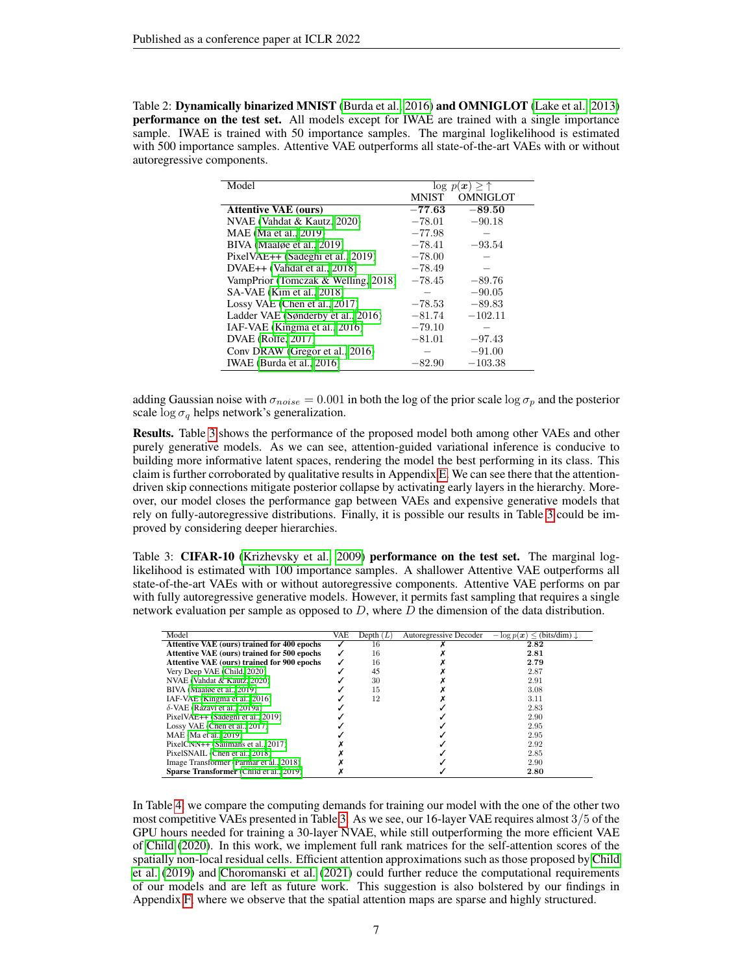<span id="page-6-0"></span>Table 2: Dynamically binarized MNIST [\(Burda et al., 2016\)](#page-9-1) and OMNIGLOT [\(Lake et al., 2013\)](#page-10-10) performance on the test set. All models except for IWAE are trained with a single importance sample. IWAE is trained with 50 importance samples. The marginal loglikelihood is estimated with 500 importance samples. Attentive VAE outperforms all state-of-the-art VAEs with or without autoregressive components.

| Model                                    | $\log p(x) > \uparrow$ |                 |
|------------------------------------------|------------------------|-----------------|
|                                          | <b>MNIST</b>           | <b>OMNIGLOT</b> |
| <b>Attentive VAE (ours)</b>              | $-77.63$               | $-89.50$        |
| NVAE (Vahdat & Kautz, 2020)              | $-78.01$               | $-90.18$        |
| MAE (Ma et al., 2019)                    | $-77.98$               |                 |
| BIVA (Maalge et al., 2019)               | $-78.41$               | $-93.54$        |
| PixelVAE++ (Sadeghi et al., 2019)        | $-78.00$               |                 |
| DVAE <sub>++</sub> (Vahdat et al., 2018) | $-78.49$               |                 |
| VampPrior (Tomczak & Welling, 2018)      | $-78.45$               | $-89.76$        |
| SA-VAE (Kim et al., 2018)                |                        | $-90.05$        |
| Lossy VAE (Chen et al., $2017$ )         | $-78.53$               | $-89.83$        |
| Ladder VAE (Sønderby et al., 2016)       | $-81.74$               | $-102.11$       |
| IAF-VAE (Kingma et al., 2016)            | $-79.10$               |                 |
| DVAE (Rolfe, 2017)                       | $-81.01$               | $-97.43$        |
| Conv DRAW (Gregor et al., 2016)          |                        | $-91.00$        |
| IWAE (Burda et al., $2016$ )             | $-82.90$               | $-103.38$       |

adding Gaussian noise with  $\sigma_{noise} = 0.001$  in both the log of the prior scale log  $\sigma_p$  and the posterior scale  $\log \sigma_a$  helps network's generalization.

Results. Table [3](#page-6-1) shows the performance of the proposed model both among other VAEs and other purely generative models. As we can see, attention-guided variational inference is conducive to building more informative latent spaces, rendering the model the best performing in its class. This claim is further corroborated by qualitative results in Appendix E. We can see there that the attentiondriven skip connections mitigate posterior collapse by activating early layers in the hierarchy. Moreover, our model closes the performance gap between VAEs and expensive generative models that rely on fully-autoregressive distributions. Finally, it is possible our results in Table [3](#page-6-1) could be improved by considering deeper hierarchies.

<span id="page-6-1"></span>Table 3: CIFAR-10 [\(Krizhevsky et al., 2009\)](#page-10-14) performance on the test set. The marginal loglikelihood is estimated with 100 importance samples. A shallower Attentive VAE outperforms all state-of-the-art VAEs with or without autoregressive components. Attentive VAE performs on par with fully autoregressive generative models. However, it permits fast sampling that requires a single network evaluation per sample as opposed to  $D$ , where  $D$  the dimension of the data distribution.

| Model                                       | VAE | Depth $(L)$ | Autoregressive Decoder | $-\log p(x) \leq$ (bits/dim) $\downarrow$ |
|---------------------------------------------|-----|-------------|------------------------|-------------------------------------------|
| Attentive VAE (ours) trained for 400 epochs |     | 16          |                        | 2.82                                      |
| Attentive VAE (ours) trained for 500 epochs |     | 16          |                        | 2.81                                      |
| Attentive VAE (ours) trained for 900 epochs |     | 16          |                        | 2.79                                      |
| Very Deep VAE (Child, 2020)                 |     | 45          |                        | 2.87                                      |
| NVAE (Vahdat & Kautz, 2020)                 |     | 30          |                        | 2.91                                      |
| BIVA (Maaløe et al., 2019)                  |     | 15          |                        | 3.08                                      |
| IAF-VAE (Kingma et al., 2016)               |     | 12          |                        | 3.11                                      |
| $\delta$ -VAE (Razavi et al., 2019a)        |     |             |                        | 2.83                                      |
| PixelVAE++ (Sadeghi et al., 2019)           |     |             |                        | 2.90                                      |
| Lossy VAE (Chen et al., 2017)               |     |             |                        | 2.95                                      |
| MAE (Ma et al., 2019)                       |     |             |                        | 2.95                                      |
| PixelCNN++ (Salimans et al., 2017)          |     |             |                        | 2.92                                      |
| PixelSNAIL (Chen et al., 2018)              |     |             |                        | 2.85                                      |
| Image Transformer (Parmar et al., 2018)     |     |             |                        | 2.90                                      |
| Sparse Transformer (Child et al., 2019)     |     |             |                        | 2.80                                      |

In Table [4,](#page-7-1) we compare the computing demands for training our model with the one of the other two most competitive VAEs presented in Table [3.](#page-6-1) As we see, our 16-layer VAE requires almost 3/5 of the GPU hours needed for training a 30-layer NVAE, while still outperforming the more efficient VAE of [Child](#page-9-2) [\(2020\)](#page-9-2). In this work, we implement full rank matrices for the self-attention scores of the spatially non-local residual cells. Efficient attention approximations such as those proposed by [Child](#page-9-6) [et al.](#page-9-6) [\(2019\)](#page-9-6) and [Choromanski et al.](#page-9-8) [\(2021\)](#page-9-8) could further reduce the computational requirements of our models and are left as future work. This suggestion is also bolstered by our findings in Appendix F, where we observe that the spatial attention maps are sparse and highly structured.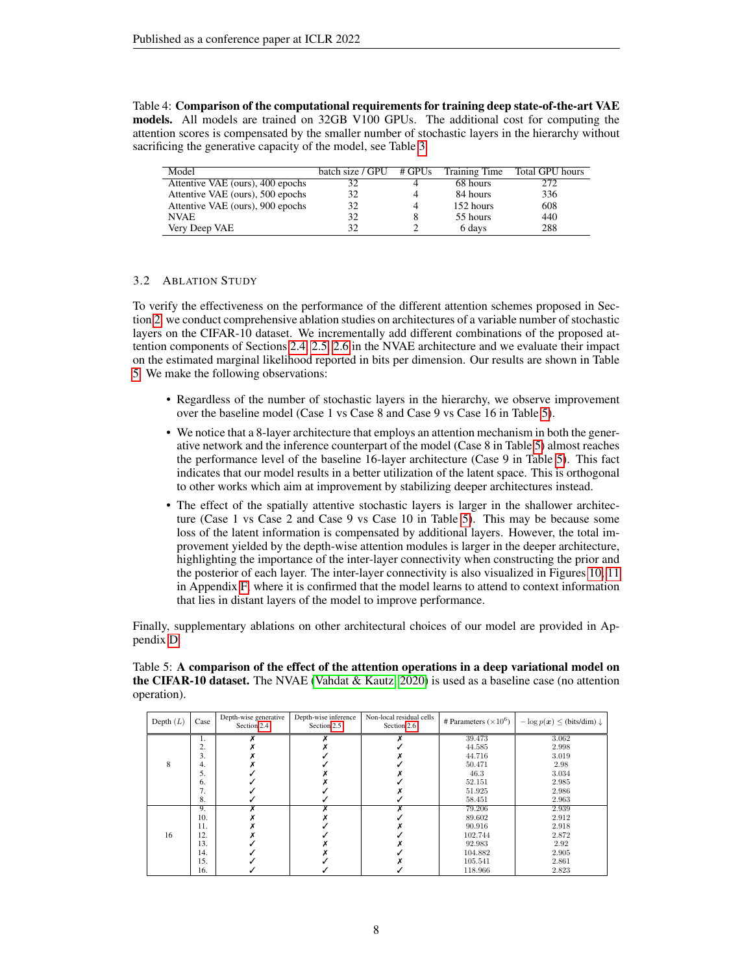<span id="page-7-1"></span>Table 4: Comparison of the computational requirements for training deep state-of-the-art VAE models. All models are trained on 32GB V100 GPUs. The additional cost for computing the attention scores is compensated by the smaller number of stochastic layers in the hierarchy without sacrificing the generative capacity of the model, see Table [3.](#page-6-1)

| Model                            | batch size / $GPU$ # $GPUs$ |   | <b>Training Time</b> | Total GPU hours |
|----------------------------------|-----------------------------|---|----------------------|-----------------|
| Attentive VAE (ours), 400 epochs | 32                          |   | 68 hours             | 272             |
| Attentive VAE (ours), 500 epochs | 32                          | 4 | 84 hours             | 336             |
| Attentive VAE (ours), 900 epochs | 32                          | 4 | 152 hours            | 608             |
| <b>NVAE</b>                      | 32                          |   | 55 hours             | 440             |
| Very Deep VAE                    | 32                          |   | 6 days               | 288             |

## <span id="page-7-0"></span>3.2 ABLATION STUDY

To verify the effectiveness on the performance of the different attention schemes proposed in Section [2,](#page-1-2) we conduct comprehensive ablation studies on architectures of a variable number of stochastic layers on the CIFAR-10 dataset. We incrementally add different combinations of the proposed attention components of Sections [2.4,](#page-3-1) [2.5,](#page-4-0) [2.6](#page-4-1) in the NVAE architecture and we evaluate their impact on the estimated marginal likelihood reported in bits per dimension. Our results are shown in Table [5.](#page-7-2) We make the following observations:

- Regardless of the number of stochastic layers in the hierarchy, we observe improvement over the baseline model (Case 1 vs Case 8 and Case 9 vs Case 16 in Table [5\)](#page-7-2).
- We notice that a 8-layer architecture that employs an attention mechanism in both the generative network and the inference counterpart of the model (Case 8 in Table [5\)](#page-7-2) almost reaches the performance level of the baseline 16-layer architecture (Case 9 in Table [5\)](#page-7-2). This fact indicates that our model results in a better utilization of the latent space. This is orthogonal to other works which aim at improvement by stabilizing deeper architectures instead.
- The effect of the spatially attentive stochastic layers is larger in the shallower architecture (Case 1 vs Case 2 and Case 9 vs Case 10 in Table [5\)](#page-7-2). This may be because some loss of the latent information is compensated by additional layers. However, the total improvement yielded by the depth-wise attention modules is larger in the deeper architecture, highlighting the importance of the inter-layer connectivity when constructing the prior and the posterior of each layer. The inter-layer connectivity is also visualized in Figures 10, 11 in Appendix F, where it is confirmed that the model learns to attend to context information that lies in distant layers of the model to improve performance.

Finally, supplementary ablations on other architectural choices of our model are provided in Appendix D.

| Depth $(L)$ | Case             | Depth-wise generative<br>Section 2.4 | Depth-wise inference<br>Section 2.5 | Non-local residual cells<br>Section 2.6 | # Parameters $(\times 10^6)$ | $-\log p(x) \leq$ (bits/dim) $\downarrow$ |
|-------------|------------------|--------------------------------------|-------------------------------------|-----------------------------------------|------------------------------|-------------------------------------------|
|             | 1.               |                                      |                                     |                                         | 39.473                       | 3.062                                     |
|             | ◠<br>، ئە        |                                      |                                     |                                         | 44.585                       | 2.998                                     |
|             | 3.               |                                      |                                     |                                         | 44.716                       | 3.019                                     |
| 8           | 4.               |                                      |                                     |                                         | 50.471                       | 2.98                                      |
|             | 5.               |                                      |                                     |                                         | 46.3                         | 3.034                                     |
|             | 6.               |                                      |                                     |                                         | 52.151                       | 2.985                                     |
|             | ,,               |                                      |                                     |                                         | 51.925                       | 2.986                                     |
|             | 8.               |                                      |                                     |                                         | 58.451                       | 2.963                                     |
|             | $\overline{9}$ . |                                      |                                     |                                         | 79.206                       | 2.939                                     |
|             | 10.              |                                      |                                     |                                         | 89.602                       | 2.912                                     |
|             | 11.              |                                      |                                     |                                         | 90.916                       | 2.918                                     |
| 16          | 12.              |                                      |                                     |                                         | 102.744                      | 2.872                                     |
|             | 13.              |                                      |                                     |                                         | 92.983                       | 2.92                                      |
|             | 14.              |                                      |                                     |                                         | 104.882                      | 2.905                                     |
|             | 15.              |                                      |                                     |                                         | 105.541                      | 2.861                                     |
|             | 16.              |                                      |                                     |                                         | 118.966                      | 2.823                                     |

<span id="page-7-2"></span>Table 5: A comparison of the effect of the attention operations in a deep variational model on the CIFAR-10 dataset. The NVAE [\(Vahdat & Kautz, 2020\)](#page-11-8) is used as a baseline case (no attention operation).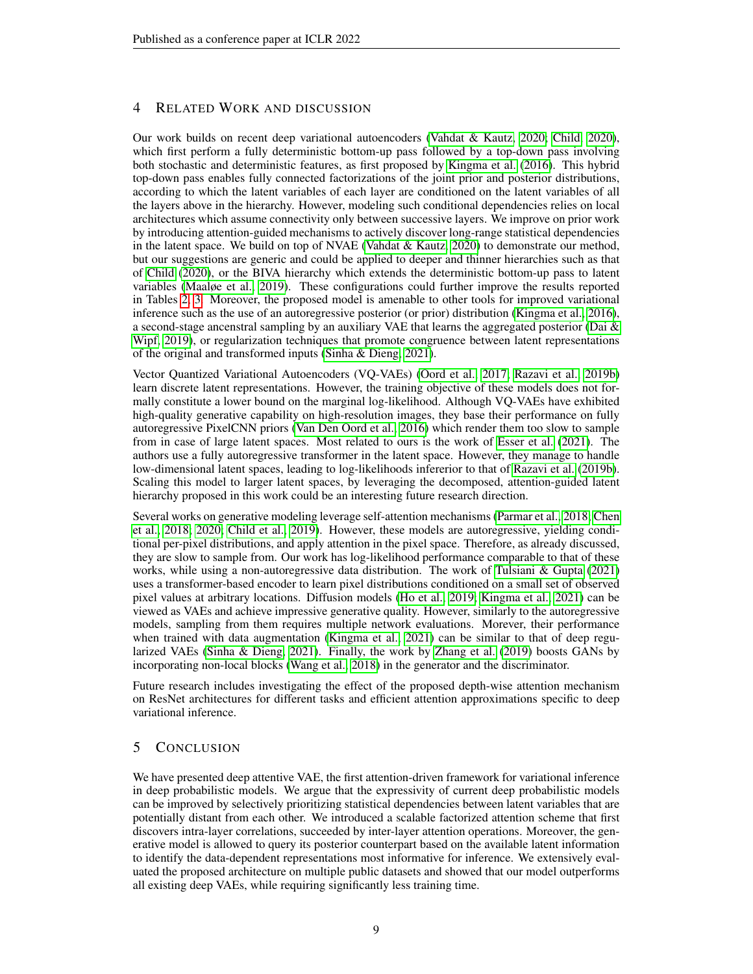## 4 RELATED WORK AND DISCUSSION

Our work builds on recent deep variational autoencoders [\(Vahdat & Kautz, 2020;](#page-11-8) [Child, 2020\)](#page-9-2), which first perform a fully deterministic bottom-up pass followed by a top-down pass involving both stochastic and deterministic features, as first proposed by [Kingma et al.](#page-10-2) [\(2016\)](#page-10-2). This hybrid top-down pass enables fully connected factorizations of the joint prior and posterior distributions, according to which the latent variables of each layer are conditioned on the latent variables of all the layers above in the hierarchy. However, modeling such conditional dependencies relies on local architectures which assume connectivity only between successive layers. We improve on prior work by introducing attention-guided mechanisms to actively discover long-range statistical dependencies in the latent space. We build on top of NVAE (Vahdat  $\&$  Kautz, 2020) to demonstrate our method, but our suggestions are generic and could be applied to deeper and thinner hierarchies such as that of [Child](#page-9-2) [\(2020\)](#page-9-2), or the BIVA hierarchy which extends the deterministic bottom-up pass to latent variables [\(Maaløe et al., 2019\)](#page-11-7). These configurations could further improve the results reported in Tables [2,](#page-6-0) [3.](#page-6-1) Moreover, the proposed model is amenable to other tools for improved variational inference such as the use of an autoregressive posterior (or prior) distribution [\(Kingma et al., 2016\)](#page-10-2), a second-stage ancenstral sampling by an auxiliary VAE that learns the aggregated posterior (Dai  $\&$ [Wipf, 2019\)](#page-9-9), or regularization techniques that promote congruence between latent representations of the original and transformed inputs [\(Sinha & Dieng, 2021\)](#page-11-5).

Vector Quantized Variational Autoencoders (VQ-VAEs) [\(Oord et al., 2017;](#page-11-14) [Razavi et al., 2019b\)](#page-11-15) learn discrete latent representations. However, the training objective of these models does not formally constitute a lower bound on the marginal log-likelihood. Although VQ-VAEs have exhibited high-quality generative capability on high-resolution images, they base their performance on fully autoregressive PixelCNN priors [\(Van Den Oord et al., 2016\)](#page-12-2) which render them too slow to sample from in case of large latent spaces. Most related to ours is the work of [Esser et al.](#page-9-10) [\(2021\)](#page-9-10). The authors use a fully autoregressive transformer in the latent space. However, they manage to handle low-dimensional latent spaces, leading to log-likelihoods infererior to that of [Razavi et al.](#page-11-15) [\(2019b\)](#page-11-15). Scaling this model to larger latent spaces, by leveraging the decomposed, attention-guided latent hierarchy proposed in this work could be an interesting future research direction.

Several works on generative modeling leverage self-attention mechanisms [\(Parmar et al., 2018;](#page-11-13) [Chen](#page-9-7) [et al., 2018;](#page-9-7) [2020;](#page-9-3) [Child et al., 2019\)](#page-9-6). However, these models are autoregressive, yielding conditional per-pixel distributions, and apply attention in the pixel space. Therefore, as already discussed, they are slow to sample from. Our work has log-likelihood performance comparable to that of these works, while using a non-autoregressive data distribution. The work of [Tulsiani & Gupta](#page-11-16) [\(2021\)](#page-11-16) uses a transformer-based encoder to learn pixel distributions conditioned on a small set of observed pixel values at arbitrary locations. Diffusion models [\(Ho et al., 2019;](#page-10-15) [Kingma et al., 2021\)](#page-10-16) can be viewed as VAEs and achieve impressive generative quality. However, similarly to the autoregressive models, sampling from them requires multiple network evaluations. Morever, their performance when trained with data augmentation [\(Kingma et al., 2021\)](#page-10-16) can be similar to that of deep regularized VAEs [\(Sinha & Dieng, 2021\)](#page-11-5). Finally, the work by [Zhang et al.](#page-12-3) [\(2019\)](#page-12-3) boosts GANs by incorporating non-local blocks [\(Wang et al., 2018\)](#page-12-0) in the generator and the discriminator.

Future research includes investigating the effect of the proposed depth-wise attention mechanism on ResNet architectures for different tasks and efficient attention approximations specific to deep variational inference.

## 5 CONCLUSION

We have presented deep attentive VAE, the first attention-driven framework for variational inference in deep probabilistic models. We argue that the expressivity of current deep probabilistic models can be improved by selectively prioritizing statistical dependencies between latent variables that are potentially distant from each other. We introduced a scalable factorized attention scheme that first discovers intra-layer correlations, succeeded by inter-layer attention operations. Moreover, the generative model is allowed to query its posterior counterpart based on the available latent information to identify the data-dependent representations most informative for inference. We extensively evaluated the proposed architecture on multiple public datasets and showed that our model outperforms all existing deep VAEs, while requiring significantly less training time.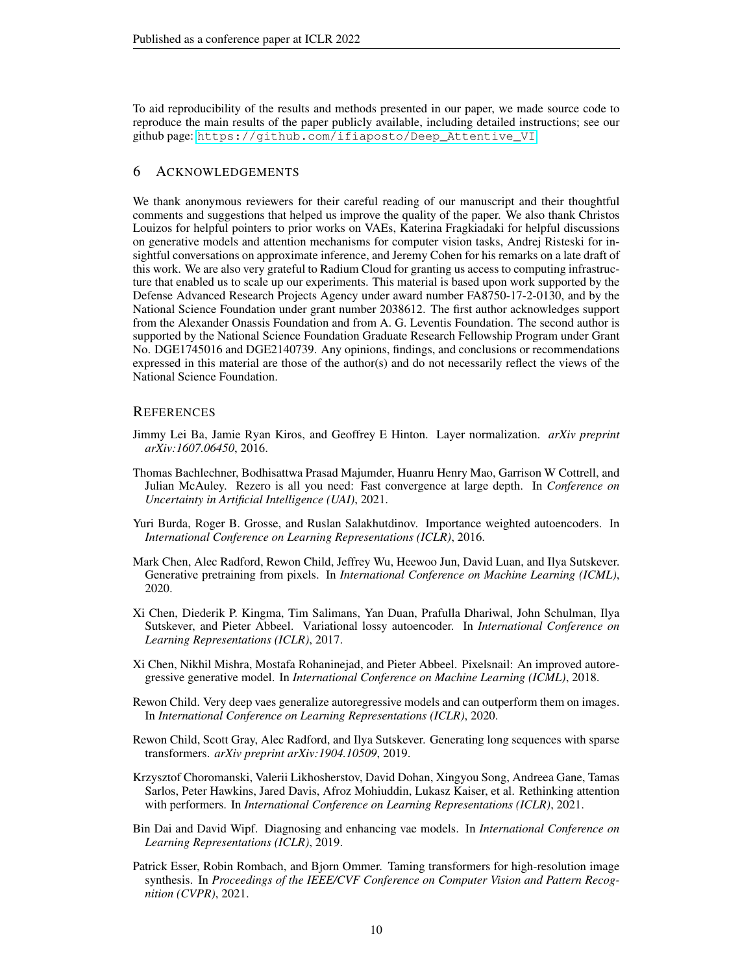To aid reproducibility of the results and methods presented in our paper, we made source code to reproduce the main results of the paper publicly available, including detailed instructions; see our github page: [https://github.com/ifiaposto/Deep\\_Attentive\\_VI](https://github.com/ifiaposto/Deep_Attentive_VI).

## 6 ACKNOWLEDGEMENTS

We thank anonymous reviewers for their careful reading of our manuscript and their thoughtful comments and suggestions that helped us improve the quality of the paper. We also thank Christos Louizos for helpful pointers to prior works on VAEs, Katerina Fragkiadaki for helpful discussions on generative models and attention mechanisms for computer vision tasks, Andrej Risteski for insightful conversations on approximate inference, and Jeremy Cohen for his remarks on a late draft of this work. We are also very grateful to Radium Cloud for granting us access to computing infrastructure that enabled us to scale up our experiments. This material is based upon work supported by the Defense Advanced Research Projects Agency under award number FA8750-17-2-0130, and by the National Science Foundation under grant number 2038612. The first author acknowledges support from the Alexander Onassis Foundation and from A. G. Leventis Foundation. The second author is supported by the National Science Foundation Graduate Research Fellowship Program under Grant No. DGE1745016 and DGE2140739. Any opinions, findings, and conclusions or recommendations expressed in this material are those of the author(s) and do not necessarily reflect the views of the National Science Foundation.

## **REFERENCES**

- <span id="page-9-4"></span>Jimmy Lei Ba, Jamie Ryan Kiros, and Geoffrey E Hinton. Layer normalization. *arXiv preprint arXiv:1607.06450*, 2016.
- <span id="page-9-5"></span>Thomas Bachlechner, Bodhisattwa Prasad Majumder, Huanru Henry Mao, Garrison W Cottrell, and Julian McAuley. Rezero is all you need: Fast convergence at large depth. In *Conference on Uncertainty in Artificial Intelligence (UAI)*, 2021.
- <span id="page-9-1"></span>Yuri Burda, Roger B. Grosse, and Ruslan Salakhutdinov. Importance weighted autoencoders. In *International Conference on Learning Representations (ICLR)*, 2016.
- <span id="page-9-3"></span>Mark Chen, Alec Radford, Rewon Child, Jeffrey Wu, Heewoo Jun, David Luan, and Ilya Sutskever. Generative pretraining from pixels. In *International Conference on Machine Learning (ICML)*, 2020.
- <span id="page-9-0"></span>Xi Chen, Diederik P. Kingma, Tim Salimans, Yan Duan, Prafulla Dhariwal, John Schulman, Ilya Sutskever, and Pieter Abbeel. Variational lossy autoencoder. In *International Conference on Learning Representations (ICLR)*, 2017.
- <span id="page-9-7"></span>Xi Chen, Nikhil Mishra, Mostafa Rohaninejad, and Pieter Abbeel. Pixelsnail: An improved autoregressive generative model. In *International Conference on Machine Learning (ICML)*, 2018.
- <span id="page-9-2"></span>Rewon Child. Very deep vaes generalize autoregressive models and can outperform them on images. In *International Conference on Learning Representations (ICLR)*, 2020.
- <span id="page-9-6"></span>Rewon Child, Scott Gray, Alec Radford, and Ilya Sutskever. Generating long sequences with sparse transformers. *arXiv preprint arXiv:1904.10509*, 2019.
- <span id="page-9-8"></span>Krzysztof Choromanski, Valerii Likhosherstov, David Dohan, Xingyou Song, Andreea Gane, Tamas Sarlos, Peter Hawkins, Jared Davis, Afroz Mohiuddin, Lukasz Kaiser, et al. Rethinking attention with performers. In *International Conference on Learning Representations (ICLR)*, 2021.
- <span id="page-9-9"></span>Bin Dai and David Wipf. Diagnosing and enhancing vae models. In *International Conference on Learning Representations (ICLR)*, 2019.
- <span id="page-9-10"></span>Patrick Esser, Robin Rombach, and Bjorn Ommer. Taming transformers for high-resolution image synthesis. In *Proceedings of the IEEE/CVF Conference on Computer Vision and Pattern Recognition (CVPR)*, 2021.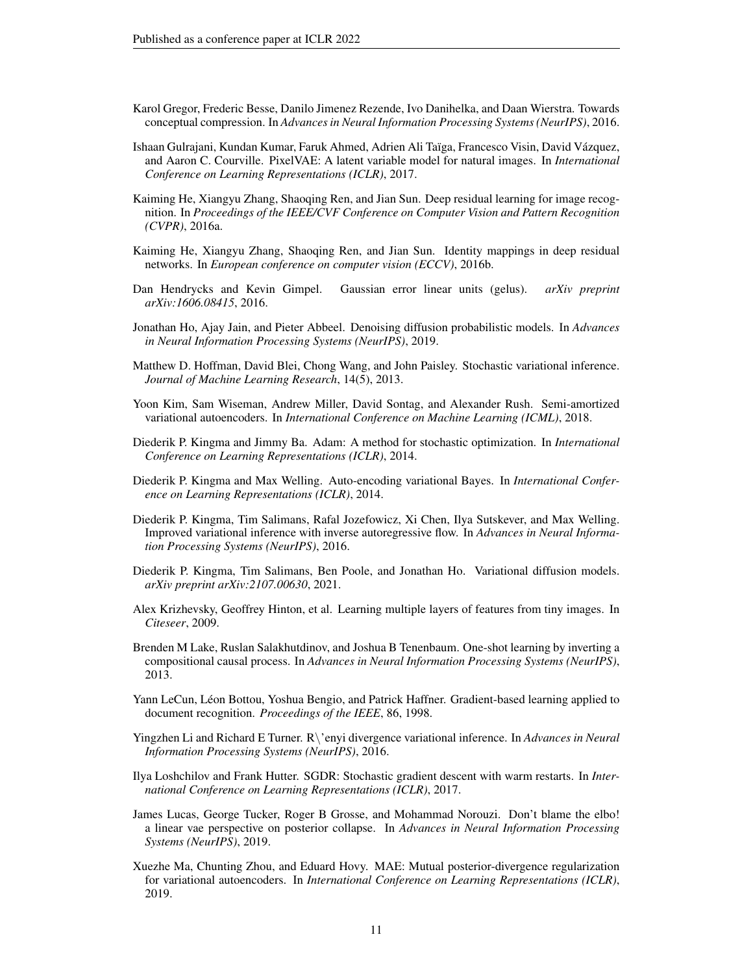- <span id="page-10-13"></span>Karol Gregor, Frederic Besse, Danilo Jimenez Rezende, Ivo Danihelka, and Daan Wierstra. Towards conceptual compression. In *Advances in Neural Information Processing Systems (NeurIPS)*, 2016.
- <span id="page-10-5"></span>Ishaan Gulrajani, Kundan Kumar, Faruk Ahmed, Adrien Ali Taïga, Francesco Visin, David Vázquez, and Aaron C. Courville. PixelVAE: A latent variable model for natural images. In *International Conference on Learning Representations (ICLR)*, 2017.
- <span id="page-10-7"></span>Kaiming He, Xiangyu Zhang, Shaoqing Ren, and Jian Sun. Deep residual learning for image recognition. In *Proceedings of the IEEE/CVF Conference on Computer Vision and Pattern Recognition (CVPR)*, 2016a.
- <span id="page-10-8"></span>Kaiming He, Xiangyu Zhang, Shaoqing Ren, and Jian Sun. Identity mappings in deep residual networks. In *European conference on computer vision (ECCV)*, 2016b.
- <span id="page-10-6"></span>Dan Hendrycks and Kevin Gimpel. Gaussian error linear units (gelus). *arXiv preprint arXiv:1606.08415*, 2016.
- <span id="page-10-15"></span>Jonathan Ho, Ajay Jain, and Pieter Abbeel. Denoising diffusion probabilistic models. In *Advances in Neural Information Processing Systems (NeurIPS)*, 2019.
- <span id="page-10-1"></span>Matthew D. Hoffman, David Blei, Chong Wang, and John Paisley. Stochastic variational inference. *Journal of Machine Learning Research*, 14(5), 2013.
- <span id="page-10-12"></span>Yoon Kim, Sam Wiseman, Andrew Miller, David Sontag, and Alexander Rush. Semi-amortized variational autoencoders. In *International Conference on Machine Learning (ICML)*, 2018.
- Diederik P. Kingma and Jimmy Ba. Adam: A method for stochastic optimization. In *International Conference on Learning Representations (ICLR)*, 2014.
- <span id="page-10-0"></span>Diederik P. Kingma and Max Welling. Auto-encoding variational Bayes. In *International Conference on Learning Representations (ICLR)*, 2014.
- <span id="page-10-2"></span>Diederik P. Kingma, Tim Salimans, Rafal Jozefowicz, Xi Chen, Ilya Sutskever, and Max Welling. Improved variational inference with inverse autoregressive flow. In *Advances in Neural Information Processing Systems (NeurIPS)*, 2016.
- <span id="page-10-16"></span>Diederik P. Kingma, Tim Salimans, Ben Poole, and Jonathan Ho. Variational diffusion models. *arXiv preprint arXiv:2107.00630*, 2021.
- <span id="page-10-14"></span>Alex Krizhevsky, Geoffrey Hinton, et al. Learning multiple layers of features from tiny images. In *Citeseer*, 2009.
- <span id="page-10-10"></span>Brenden M Lake, Ruslan Salakhutdinov, and Joshua B Tenenbaum. One-shot learning by inverting a compositional causal process. In *Advances in Neural Information Processing Systems (NeurIPS)*, 2013.
- <span id="page-10-9"></span>Yann LeCun, Léon Bottou, Yoshua Bengio, and Patrick Haffner. Gradient-based learning applied to document recognition. *Proceedings of the IEEE*, 86, 1998.
- <span id="page-10-3"></span>Yingzhen Li and Richard E Turner. R\'enyi divergence variational inference. In *Advances in Neural Information Processing Systems (NeurIPS)*, 2016.
- Ilya Loshchilov and Frank Hutter. SGDR: Stochastic gradient descent with warm restarts. In *International Conference on Learning Representations (ICLR)*, 2017.
- <span id="page-10-4"></span>James Lucas, George Tucker, Roger B Grosse, and Mohammad Norouzi. Don't blame the elbo! a linear vae perspective on posterior collapse. In *Advances in Neural Information Processing Systems (NeurIPS)*, 2019.
- <span id="page-10-11"></span>Xuezhe Ma, Chunting Zhou, and Eduard Hovy. MAE: Mutual posterior-divergence regularization for variational autoencoders. In *International Conference on Learning Representations (ICLR)*, 2019.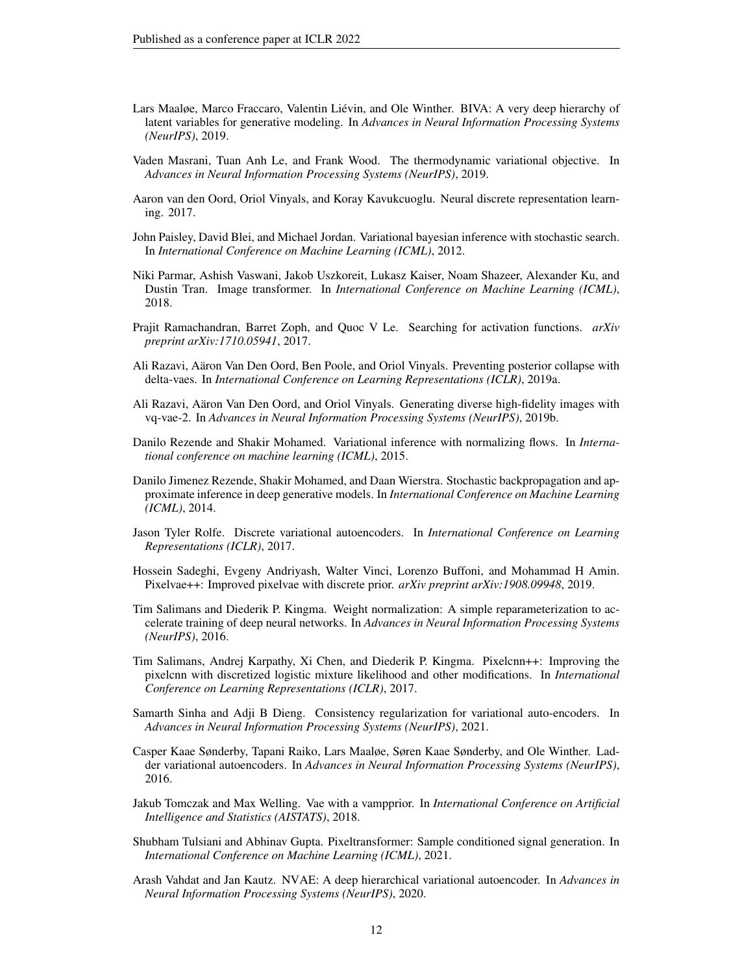- <span id="page-11-7"></span>Lars Maaløe, Marco Fraccaro, Valentin Liévin, and Ole Winther. BIVA: A very deep hierarchy of latent variables for generative modeling. In *Advances in Neural Information Processing Systems (NeurIPS)*, 2019.
- <span id="page-11-3"></span>Vaden Masrani, Tuan Anh Le, and Frank Wood. The thermodynamic variational objective. In *Advances in Neural Information Processing Systems (NeurIPS)*, 2019.
- <span id="page-11-14"></span>Aaron van den Oord, Oriol Vinyals, and Koray Kavukcuoglu. Neural discrete representation learning. 2017.
- <span id="page-11-0"></span>John Paisley, David Blei, and Michael Jordan. Variational bayesian inference with stochastic search. In *International Conference on Machine Learning (ICML)*, 2012.
- <span id="page-11-13"></span>Niki Parmar, Ashish Vaswani, Jakob Uszkoreit, Lukasz Kaiser, Noam Shazeer, Alexander Ku, and Dustin Tran. Image transformer. In *International Conference on Machine Learning (ICML)*, 2018.
- Prajit Ramachandran, Barret Zoph, and Quoc V Le. Searching for activation functions. *arXiv preprint arXiv:1710.05941*, 2017.
- <span id="page-11-4"></span>Ali Razavi, Aäron Van Den Oord, Ben Poole, and Oriol Vinyals. Preventing posterior collapse with delta-vaes. In *International Conference on Learning Representations (ICLR)*, 2019a.
- <span id="page-11-15"></span>Ali Razavi, Aäron Van Den Oord, and Oriol Vinyals. Generating diverse high-fidelity images with vq-vae-2. In *Advances in Neural Information Processing Systems (NeurIPS)*, 2019b.
- <span id="page-11-2"></span>Danilo Rezende and Shakir Mohamed. Variational inference with normalizing flows. In *International conference on machine learning (ICML)*, 2015.
- <span id="page-11-1"></span>Danilo Jimenez Rezende, Shakir Mohamed, and Daan Wierstra. Stochastic backpropagation and approximate inference in deep generative models. In *International Conference on Machine Learning (ICML)*, 2014.
- <span id="page-11-12"></span>Jason Tyler Rolfe. Discrete variational autoencoders. In *International Conference on Learning Representations (ICLR)*, 2017.
- <span id="page-11-10"></span>Hossein Sadeghi, Evgeny Andriyash, Walter Vinci, Lorenzo Buffoni, and Mohammad H Amin. Pixelvae++: Improved pixelvae with discrete prior. *arXiv preprint arXiv:1908.09948*, 2019.
- Tim Salimans and Diederik P. Kingma. Weight normalization: A simple reparameterization to accelerate training of deep neural networks. In *Advances in Neural Information Processing Systems (NeurIPS)*, 2016.
- <span id="page-11-9"></span>Tim Salimans, Andrej Karpathy, Xi Chen, and Diederik P. Kingma. Pixelcnn++: Improving the pixelcnn with discretized logistic mixture likelihood and other modifications. In *International Conference on Learning Representations (ICLR)*, 2017.
- <span id="page-11-5"></span>Samarth Sinha and Adji B Dieng. Consistency regularization for variational auto-encoders. In *Advances in Neural Information Processing Systems (NeurIPS)*, 2021.
- <span id="page-11-6"></span>Casper Kaae Sønderby, Tapani Raiko, Lars Maaløe, Søren Kaae Sønderby, and Ole Winther. Ladder variational autoencoders. In *Advances in Neural Information Processing Systems (NeurIPS)*, 2016.
- <span id="page-11-11"></span>Jakub Tomczak and Max Welling. Vae with a vampprior. In *International Conference on Artificial Intelligence and Statistics (AISTATS)*, 2018.
- <span id="page-11-16"></span>Shubham Tulsiani and Abhinav Gupta. Pixeltransformer: Sample conditioned signal generation. In *International Conference on Machine Learning (ICML)*, 2021.
- <span id="page-11-8"></span>Arash Vahdat and Jan Kautz. NVAE: A deep hierarchical variational autoencoder. In *Advances in Neural Information Processing Systems (NeurIPS)*, 2020.